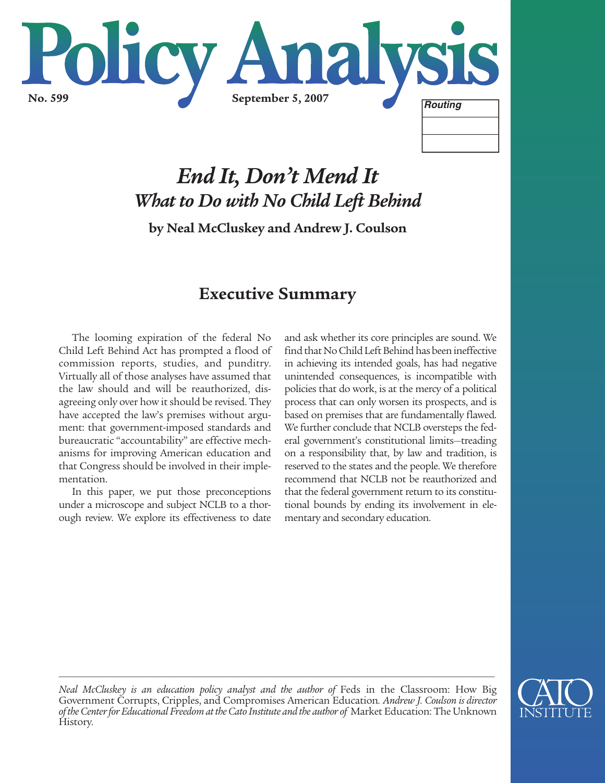

# *End It, Don't Mend It What to Do with No Child Left Behind*

**by Neal McCluskey and Andrew J. Coulson**

## **Executive Summary**

The looming expiration of the federal No Child Left Behind Act has prompted a flood of commission reports, studies, and punditry. Virtually all of those analyses have assumed that the law should and will be reauthorized, disagreeing only over how it should be revised. They have accepted the law's premises without argument: that government-imposed standards and bureaucratic "accountability" are effective mechanisms for improving American education and that Congress should be involved in their implementation.

In this paper, we put those preconceptions under a microscope and subject NCLB to a thorough review. We explore its effectiveness to date and ask whether its core principles are sound. We find that No Child Left Behind has been ineffective in achieving its intended goals, has had negative unintended consequences, is incompatible with policies that do work, is at the mercy of a political process that can only worsen its prospects, and is based on premises that are fundamentally flawed. We further conclude that NCLB oversteps the federal government's constitutional limits—treading on a responsibility that, by law and tradition, is reserved to the states and the people. We therefore recommend that NCLB not be reauthorized and that the federal government return to its constitutional bounds by ending its involvement in elementary and secondary education.



*Neal McCluskey is an education policy analyst and the author of Feds in the Classroom: How Big* Government Corrupts, Cripples, and Compromises American Education*. Andrew J. Coulson is director of the Center for Educational Freedom at the Cato Institute and the author of* Market Education: The Unknown History*.*

*\_\_\_\_\_\_\_\_\_\_\_\_\_\_\_\_\_\_\_\_\_\_\_\_\_\_\_\_\_\_\_\_\_\_\_\_\_\_\_\_\_\_\_\_\_\_\_\_\_\_\_\_\_\_\_\_\_\_\_\_\_\_\_\_\_\_\_\_\_\_\_\_\_\_\_\_\_\_\_\_\_\_\_\_\_\_\_\_\_\_\_\_\_\_\_\_\_\_\_\_\_*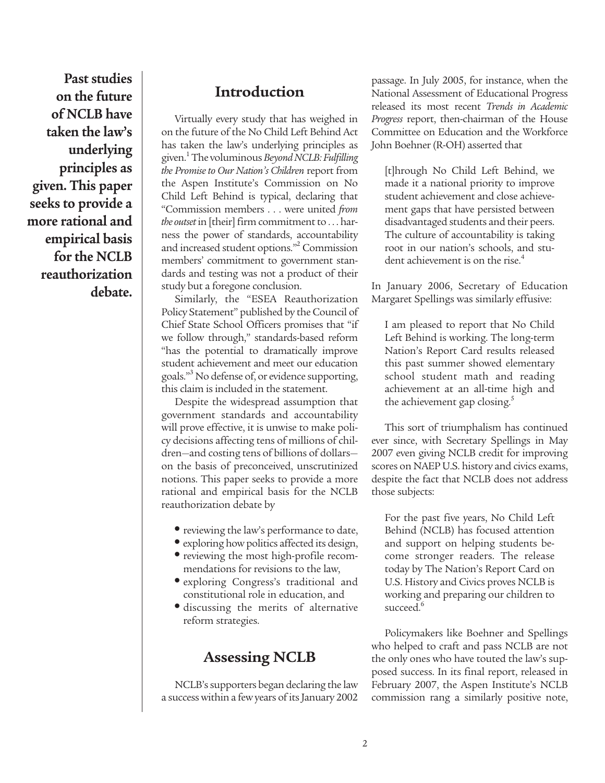**Past studies on the future of NCLB have taken the law's underlying principles as given. This paper seeks to provide a more rational and empirical basis for the NCLB reauthorization debate.**

## **Introduction**

Virtually every study that has weighed in on the future of the No Child Left Behind Act has taken the law's underlying principles as given.1The voluminous *Beyond NCLB: Fulfilling the Promise to Our Nation's Children* report from the Aspen Institute's Commission on No Child Left Behind is typical, declaring that "Commission members . . . were united *from the outset* in [their] firm commitment to . . . harness the power of standards, accountability and increased student options."2 Commission members' commitment to government standards and testing was not a product of their study but a foregone conclusion.

Similarly, the "ESEA Reauthorization Policy Statement" published by the Council of Chief State School Officers promises that "if we follow through," standards-based reform "has the potential to dramatically improve student achievement and meet our education goals."3 No defense of, or evidence supporting, this claim is included in the statement.

Despite the widespread assumption that government standards and accountability will prove effective, it is unwise to make policy decisions affecting tens of millions of children—and costing tens of billions of dollars on the basis of preconceived, unscrutinized notions. This paper seeks to provide a more rational and empirical basis for the NCLB reauthorization debate by

- reviewing the law's performance to date,
- exploring how politics affected its design,
- reviewing the most high-profile recommendations for revisions to the law,
- exploring Congress's traditional and constitutional role in education, and
- discussing the merits of alternative reform strategies.

#### **Assessing NCLB**

NCLB's supporters began declaring the law a success within a few years of its January 2002 passage. In July 2005, for instance, when the National Assessment of Educational Progress released its most recent *Trends in Academic Progress* report, then-chairman of the House Committee on Education and the Workforce John Boehner (R-OH) asserted that

[t]hrough No Child Left Behind, we made it a national priority to improve student achievement and close achievement gaps that have persisted between disadvantaged students and their peers. The culture of accountability is taking root in our nation's schools, and student achievement is on the rise.<sup>4</sup>

In January 2006, Secretary of Education Margaret Spellings was similarly effusive:

I am pleased to report that No Child Left Behind is working. The long-term Nation's Report Card results released this past summer showed elementary school student math and reading achievement at an all-time high and the achievement gap closing.<sup>5</sup>

This sort of triumphalism has continued ever since, with Secretary Spellings in May 2007 even giving NCLB credit for improving scores on NAEP U.S. history and civics exams, despite the fact that NCLB does not address those subjects:

For the past five years, No Child Left Behind (NCLB) has focused attention and support on helping students become stronger readers. The release today by The Nation's Report Card on U.S. History and Civics proves NCLB is working and preparing our children to succeed.<sup>6</sup>

Policymakers like Boehner and Spellings who helped to craft and pass NCLB are not the only ones who have touted the law's supposed success. In its final report, released in February 2007, the Aspen Institute's NCLB commission rang a similarly positive note,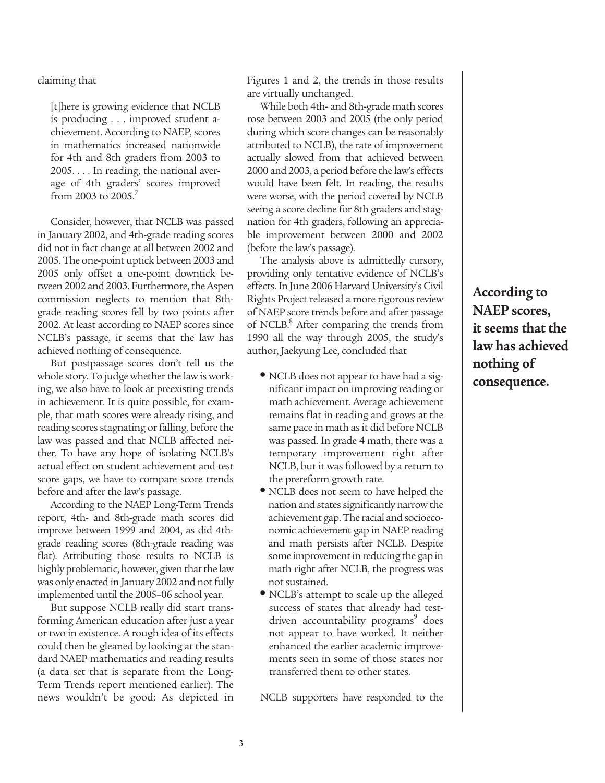claiming that

[t]here is growing evidence that NCLB is producing . . . improved student achievement. According to NAEP, scores in mathematics increased nationwide for 4th and 8th graders from 2003 to 2005. . . . In reading, the national average of 4th graders' scores improved from 2003 to  $2005$ .<sup>7</sup>

Consider, however, that NCLB was passed in January 2002, and 4th-grade reading scores did not in fact change at all between 2002 and 2005. The one-point uptick between 2003 and 2005 only offset a one-point downtick between 2002 and 2003. Furthermore, the Aspen commission neglects to mention that 8thgrade reading scores fell by two points after 2002. At least according to NAEP scores since NCLB's passage, it seems that the law has achieved nothing of consequence.

But postpassage scores don't tell us the whole story. To judge whether the law is working, we also have to look at preexisting trends in achievement. It is quite possible, for example, that math scores were already rising, and reading scores stagnating or falling, before the law was passed and that NCLB affected neither. To have any hope of isolating NCLB's actual effect on student achievement and test score gaps, we have to compare score trends before and after the law's passage.

According to the NAEP Long-Term Trends report, 4th- and 8th-grade math scores did improve between 1999 and 2004, as did 4thgrade reading scores (8th-grade reading was flat). Attributing those results to NCLB is highly problematic, however, given that the law was only enacted in January 2002 and not fully implemented until the 2005–06 school year.

But suppose NCLB really did start transforming American education after just a year or two in existence. A rough idea of its effects could then be gleaned by looking at the standard NAEP mathematics and reading results (a data set that is separate from the Long-Term Trends report mentioned earlier). The news wouldn't be good: As depicted in Figures 1 and 2, the trends in those results are virtually unchanged.

While both 4th- and 8th-grade math scores rose between 2003 and 2005 (the only period during which score changes can be reasonably attributed to NCLB), the rate of improvement actually slowed from that achieved between 2000 and 2003, a period before the law's effects would have been felt. In reading, the results were worse, with the period covered by NCLB seeing a score decline for 8th graders and stagnation for 4th graders, following an appreciable improvement between 2000 and 2002 (before the law's passage).

The analysis above is admittedly cursory, providing only tentative evidence of NCLB's effects. In June 2006 Harvard University's Civil Rights Project released a more rigorous review of NAEP score trends before and after passage of NCLB.<sup>8</sup> After comparing the trends from 1990 all the way through 2005, the study's author, Jaekyung Lee, concluded that

- NCLB does not appear to have had a significant impact on improving reading or math achievement. Average achievement remains flat in reading and grows at the same pace in math as it did before NCLB was passed. In grade 4 math, there was a temporary improvement right after NCLB, but it was followed by a return to the prereform growth rate.
- NCLB does not seem to have helped the nation and states significantly narrow the achievement gap. The racial and socioeconomic achievement gap in NAEP reading and math persists after NCLB. Despite some improvement in reducing the gap in math right after NCLB, the progress was not sustained.
- NCLB's attempt to scale up the alleged success of states that already had testdriven accountability programs<sup>9</sup> does not appear to have worked. It neither enhanced the earlier academic improvements seen in some of those states nor transferred them to other states.

NCLB supporters have responded to the

**According to NAEP scores, it seems that the law has achieved nothing of consequence.**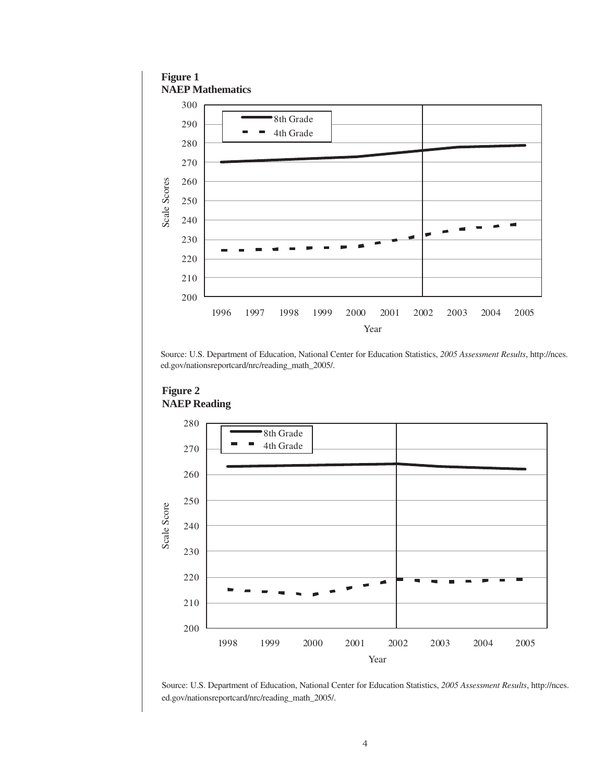#### **Figure 1 NAEP Mathematics**



Source: U.S. Department of Education, National Center for Education Statistics, *2005 Assessment Results*, http://nces.



#### **Figure 2 NAEP Reading**

Source: U.S. Department of Education, National Center for Education Statistics, *2005 Assessment Results*, http://nces. ed.gov/nationsreportcard/nrc/reading\_math\_2005/.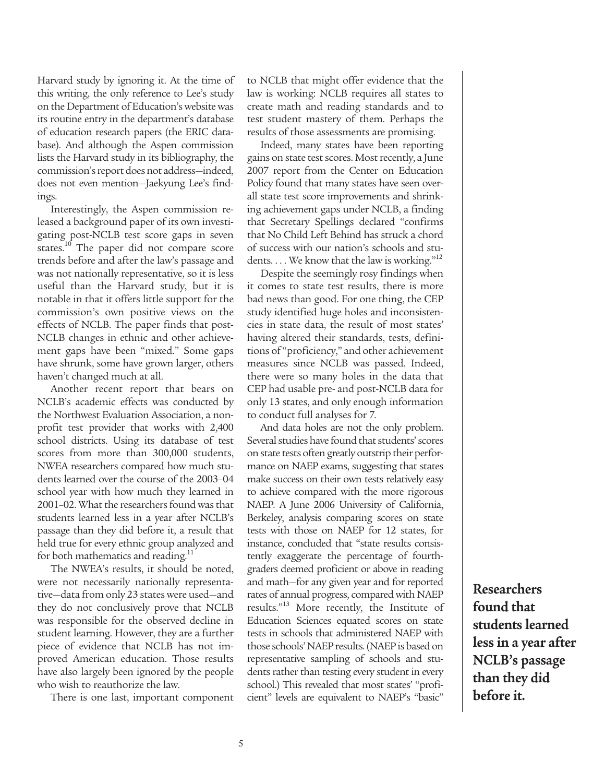Harvard study by ignoring it. At the time of this writing, the only reference to Lee's study on the Department of Education's website was its routine entry in the department's database of education research papers (the ERIC database). And although the Aspen commission lists the Harvard study in its bibliography, the commission's report does not address—indeed, does not even mention—Jaekyung Lee's findings.

Interestingly, the Aspen commission released a background paper of its own investigating post-NCLB test score gaps in seven states.<sup>10</sup> The paper did not compare score trends before and after the law's passage and was not nationally representative, so it is less useful than the Harvard study, but it is notable in that it offers little support for the commission's own positive views on the effects of NCLB. The paper finds that post-NCLB changes in ethnic and other achievement gaps have been "mixed." Some gaps have shrunk, some have grown larger, others haven't changed much at all.

Another recent report that bears on NCLB's academic effects was conducted by the Northwest Evaluation Association, a nonprofit test provider that works with 2,400 school districts. Using its database of test scores from more than 300,000 students, NWEA researchers compared how much students learned over the course of the 2003–04 school year with how much they learned in 2001–02. What the researchers found was that students learned less in a year after NCLB's passage than they did before it, a result that held true for every ethnic group analyzed and for both mathematics and reading. $11$ 

The NWEA's results, it should be noted, were not necessarily nationally representative—data from only 23 states were used—and they do not conclusively prove that NCLB was responsible for the observed decline in student learning. However, they are a further piece of evidence that NCLB has not improved American education. Those results have also largely been ignored by the people who wish to reauthorize the law.

There is one last, important component

to NCLB that might offer evidence that the law is working: NCLB requires all states to create math and reading standards and to test student mastery of them. Perhaps the results of those assessments are promising.

Indeed, many states have been reporting gains on state test scores. Most recently, a June 2007 report from the Center on Education Policy found that many states have seen overall state test score improvements and shrinking achievement gaps under NCLB, a finding that Secretary Spellings declared "confirms that No Child Left Behind has struck a chord of success with our nation's schools and students. . . . We know that the law is working."<sup>12</sup>

Despite the seemingly rosy findings when it comes to state test results, there is more bad news than good. For one thing, the CEP study identified huge holes and inconsistencies in state data, the result of most states' having altered their standards, tests, definitions of "proficiency," and other achievement measures since NCLB was passed. Indeed, there were so many holes in the data that CEP had usable pre- and post-NCLB data for only 13 states, and only enough information to conduct full analyses for 7.

And data holes are not the only problem. Several studies have found that students' scores on state tests often greatly outstrip their performance on NAEP exams, suggesting that states make success on their own tests relatively easy to achieve compared with the more rigorous NAEP. A June 2006 University of California, Berkeley, analysis comparing scores on state tests with those on NAEP for 12 states, for instance, concluded that "state results consistently exaggerate the percentage of fourthgraders deemed proficient or above in reading and math—for any given year and for reported rates of annual progress, compared with NAEP results."13 More recently, the Institute of Education Sciences equated scores on state tests in schools that administered NAEP with those schools' NAEP results. (NAEP is based on representative sampling of schools and students rather than testing every student in every school.) This revealed that most states' "proficient" levels are equivalent to NAEP's "basic"

**Researchers found that students learned less in a year after NCLB's passage than they did before it.**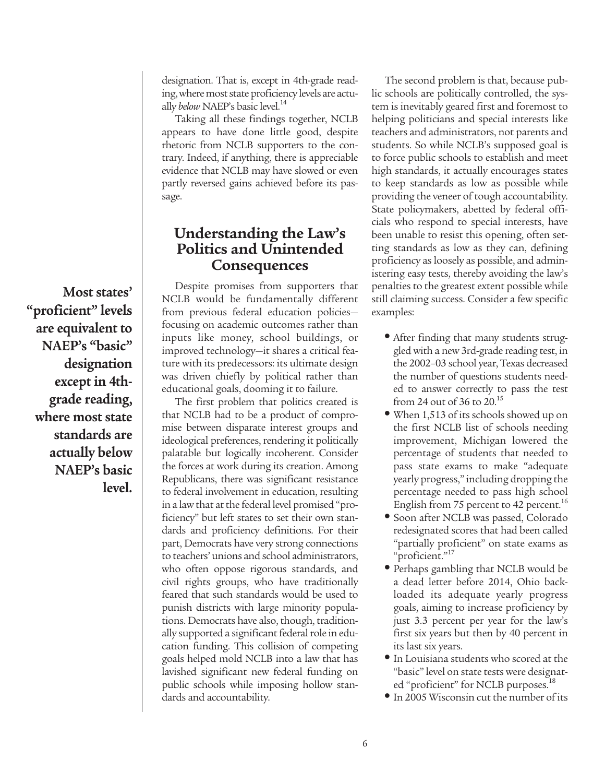designation. That is, except in 4th-grade reading, where most state proficiency levels are actually *below* NAEP's basic level.<sup>14</sup>

Taking all these findings together, NCLB appears to have done little good, despite rhetoric from NCLB supporters to the contrary. Indeed, if anything, there is appreciable evidence that NCLB may have slowed or even partly reversed gains achieved before its passage.

## **Understanding the Law's Politics and Unintended Consequences**

Despite promises from supporters that NCLB would be fundamentally different from previous federal education policies focusing on academic outcomes rather than inputs like money, school buildings, or improved technology—it shares a critical feature with its predecessors: its ultimate design was driven chiefly by political rather than educational goals, dooming it to failure.

The first problem that politics created is that NCLB had to be a product of compromise between disparate interest groups and ideological preferences, rendering it politically palatable but logically incoherent. Consider the forces at work during its creation. Among Republicans, there was significant resistance to federal involvement in education, resulting in a law that at the federal level promised "proficiency" but left states to set their own standards and proficiency definitions. For their part, Democrats have very strong connections to teachers' unions and school administrators, who often oppose rigorous standards, and civil rights groups, who have traditionally feared that such standards would be used to punish districts with large minority populations. Democrats have also, though, traditionally supported a significant federal role in education funding. This collision of competing goals helped mold NCLB into a law that has lavished significant new federal funding on public schools while imposing hollow standards and accountability.

The second problem is that, because public schools are politically controlled, the system is inevitably geared first and foremost to helping politicians and special interests like teachers and administrators, not parents and students. So while NCLB's supposed goal is to force public schools to establish and meet high standards, it actually encourages states to keep standards as low as possible while providing the veneer of tough accountability. State policymakers, abetted by federal officials who respond to special interests, have been unable to resist this opening, often setting standards as low as they can, defining proficiency as loosely as possible, and administering easy tests, thereby avoiding the law's penalties to the greatest extent possible while still claiming success. Consider a few specific examples:

- After finding that many students struggled with a new 3rd-grade reading test, in the 2002–03 school year, Texas decreased the number of questions students needed to answer correctly to pass the test from 24 out of 36 to 20.15
- When 1,513 of its schools showed up on the first NCLB list of schools needing improvement, Michigan lowered the percentage of students that needed to pass state exams to make "adequate yearly progress," including dropping the percentage needed to pass high school English from 75 percent to 42 percent.<sup>16</sup>
- Soon after NCLB was passed, Colorado redesignated scores that had been called "partially proficient" on state exams as "proficient."<sup>17</sup>
- Perhaps gambling that NCLB would be a dead letter before 2014, Ohio backloaded its adequate yearly progress goals, aiming to increase proficiency by just 3.3 percent per year for the law's first six years but then by 40 percent in its last six years.
- In Louisiana students who scored at the "basic" level on state tests were designated "proficient" for NCLB purposes.<sup>18</sup>
- In 2005 Wisconsin cut the number of its

**Most states' "proficient" levels are equivalent to NAEP's "basic" designation except in 4thgrade reading, where most state standards are actually below NAEP's basic level.**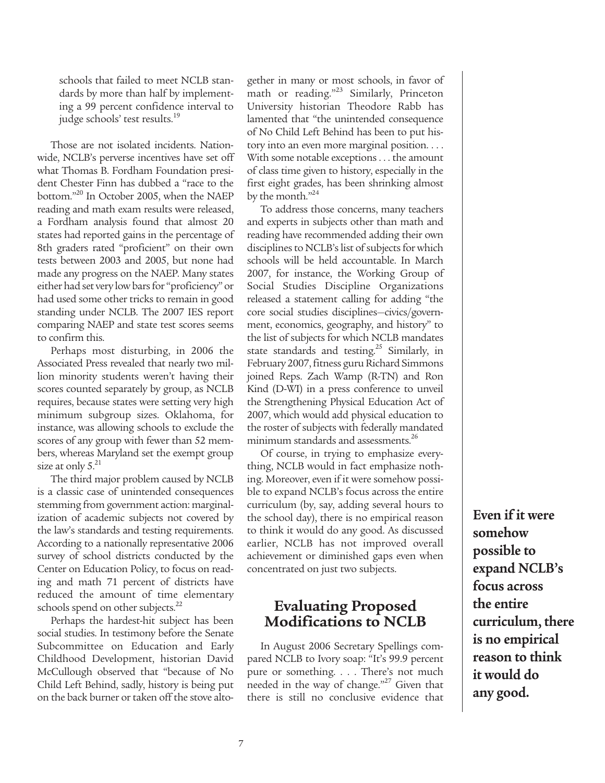schools that failed to meet NCLB standards by more than half by implementing a 99 percent confidence interval to judge schools' test results.<sup>19</sup>

Those are not isolated incidents. Nationwide, NCLB's perverse incentives have set off what Thomas B. Fordham Foundation president Chester Finn has dubbed a "race to the bottom."20 In October 2005, when the NAEP reading and math exam results were released, a Fordham analysis found that almost 20 states had reported gains in the percentage of 8th graders rated "proficient" on their own tests between 2003 and 2005, but none had made any progress on the NAEP. Many states either had set very low bars for "proficiency" or had used some other tricks to remain in good standing under NCLB. The 2007 IES report comparing NAEP and state test scores seems to confirm this.

Perhaps most disturbing, in 2006 the Associated Press revealed that nearly two million minority students weren't having their scores counted separately by group, as NCLB requires, because states were setting very high minimum subgroup sizes. Oklahoma, for instance, was allowing schools to exclude the scores of any group with fewer than 52 members, whereas Maryland set the exempt group size at only  $5.^{21}$ 

The third major problem caused by NCLB is a classic case of unintended consequences stemming from government action: marginalization of academic subjects not covered by the law's standards and testing requirements. According to a nationally representative 2006 survey of school districts conducted by the Center on Education Policy, to focus on reading and math 71 percent of districts have reduced the amount of time elementary schools spend on other subjects.<sup>22</sup>

Perhaps the hardest-hit subject has been social studies. In testimony before the Senate Subcommittee on Education and Early Childhood Development, historian David McCullough observed that "because of No Child Left Behind, sadly, history is being put on the back burner or taken off the stove altogether in many or most schools, in favor of math or reading."<sup>23</sup> Similarly, Princeton University historian Theodore Rabb has lamented that "the unintended consequence of No Child Left Behind has been to put history into an even more marginal position. . . . With some notable exceptions . . . the amount of class time given to history, especially in the first eight grades, has been shrinking almost by the month."<sup>24</sup>

To address those concerns, many teachers and experts in subjects other than math and reading have recommended adding their own disciplines to NCLB's list of subjects for which schools will be held accountable. In March 2007, for instance, the Working Group of Social Studies Discipline Organizations released a statement calling for adding "the core social studies disciplines—civics/government, economics, geography, and history" to the list of subjects for which NCLB mandates state standards and testing.<sup>25</sup> Similarly, in February 2007, fitness guru Richard Simmons joined Reps. Zach Wamp (R-TN) and Ron Kind (D-WI) in a press conference to unveil the Strengthening Physical Education Act of 2007, which would add physical education to the roster of subjects with federally mandated minimum standards and assessments.<sup>26</sup>

Of course, in trying to emphasize everything, NCLB would in fact emphasize nothing. Moreover, even if it were somehow possible to expand NCLB's focus across the entire curriculum (by, say, adding several hours to the school day), there is no empirical reason to think it would do any good. As discussed earlier, NCLB has not improved overall achievement or diminished gaps even when concentrated on just two subjects.

## **Evaluating Proposed Modifications to NCLB**

In August 2006 Secretary Spellings compared NCLB to Ivory soap: "It's 99.9 percent pure or something. . . . There's not much needed in the way of change."<sup>27</sup> Given that there is still no conclusive evidence that

**Even if it were somehow possible to expand NCLB's focus across the entire curriculum, there is no empirical reason to think it would do any good.**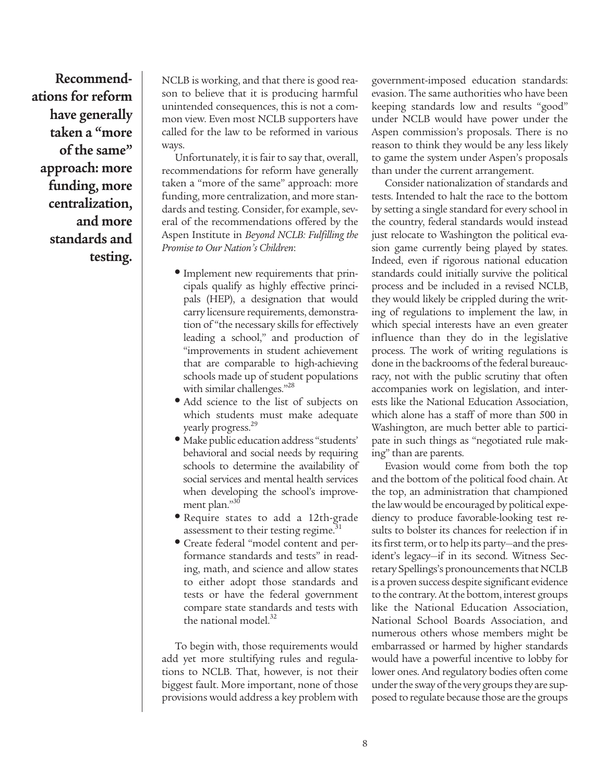**Recommendations for reform have generally taken a "more of the same" approach: more funding, more centralization, and more standards and testing.**

NCLB is working, and that there is good reason to believe that it is producing harmful unintended consequences, this is not a common view. Even most NCLB supporters have called for the law to be reformed in various ways.

Unfortunately, it is fair to say that, overall, recommendations for reform have generally taken a "more of the same" approach: more funding, more centralization, and more standards and testing. Consider, for example, several of the recommendations offered by the Aspen Institute in *Beyond NCLB: Fulfilling the Promise to Our Nation's Children*:

- Implement new requirements that principals qualify as highly effective principals (HEP), a designation that would carry licensure requirements, demonstration of "the necessary skills for effectively leading a school," and production of "improvements in student achievement that are comparable to high-achieving schools made up of student populations with similar challenges."<sup>28</sup>
- Add science to the list of subjects on which students must make adequate yearly progress.<sup>29</sup>
- Make public education address "students' behavioral and social needs by requiring schools to determine the availability of social services and mental health services when developing the school's improvement plan."30
- Require states to add a 12th-grade assessment to their testing regime.<sup>31</sup>
- Create federal "model content and performance standards and tests" in reading, math, and science and allow states to either adopt those standards and tests or have the federal government compare state standards and tests with the national model.<sup>32</sup>

To begin with, those requirements would add yet more stultifying rules and regulations to NCLB. That, however, is not their biggest fault. More important, none of those provisions would address a key problem with government-imposed education standards: evasion. The same authorities who have been keeping standards low and results "good" under NCLB would have power under the Aspen commission's proposals. There is no reason to think they would be any less likely to game the system under Aspen's proposals than under the current arrangement.

Consider nationalization of standards and tests. Intended to halt the race to the bottom by setting a single standard for every school in the country, federal standards would instead just relocate to Washington the political evasion game currently being played by states. Indeed, even if rigorous national education standards could initially survive the political process and be included in a revised NCLB, they would likely be crippled during the writing of regulations to implement the law, in which special interests have an even greater influence than they do in the legislative process. The work of writing regulations is done in the backrooms of the federal bureaucracy, not with the public scrutiny that often accompanies work on legislation, and interests like the National Education Association, which alone has a staff of more than 500 in Washington, are much better able to participate in such things as "negotiated rule making" than are parents.

Evasion would come from both the top and the bottom of the political food chain. At the top, an administration that championed the law would be encouraged by political expediency to produce favorable-looking test results to bolster its chances for reelection if in its first term, or to help its party—and the president's legacy—if in its second. Witness Secretary Spellings's pronouncements that NCLB is a proven success despite significant evidence to the contrary. At the bottom, interest groups like the National Education Association, National School Boards Association, and numerous others whose members might be embarrassed or harmed by higher standards would have a powerful incentive to lobby for lower ones. And regulatory bodies often come under the sway of the very groups they are supposed to regulate because those are the groups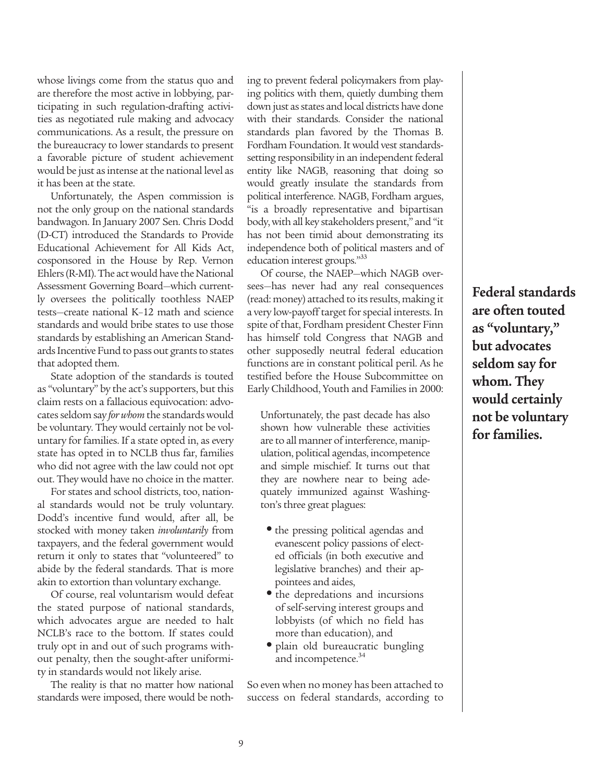whose livings come from the status quo and are therefore the most active in lobbying, participating in such regulation-drafting activities as negotiated rule making and advocacy communications. As a result, the pressure on the bureaucracy to lower standards to present a favorable picture of student achievement would be just as intense at the national level as it has been at the state.

Unfortunately, the Aspen commission is not the only group on the national standards bandwagon. In January 2007 Sen. Chris Dodd (D-CT) introduced the Standards to Provide Educational Achievement for All Kids Act, cosponsored in the House by Rep. Vernon Ehlers (R-MI). The act would have the National Assessment Governing Board—which currently oversees the politically toothless NAEP tests—create national K–12 math and science standards and would bribe states to use those standards by establishing an American Standards Incentive Fund to pass out grants to states that adopted them.

State adoption of the standards is touted as "voluntary" by the act's supporters, but this claim rests on a fallacious equivocation: advocates seldom say *for whom*the standards would be voluntary. They would certainly not be voluntary for families. If a state opted in, as every state has opted in to NCLB thus far, families who did not agree with the law could not opt out. They would have no choice in the matter.

For states and school districts, too, national standards would not be truly voluntary. Dodd's incentive fund would, after all, be stocked with money taken *involuntarily* from taxpayers, and the federal government would return it only to states that "volunteered" to abide by the federal standards. That is more akin to extortion than voluntary exchange.

Of course, real voluntarism would defeat the stated purpose of national standards, which advocates argue are needed to halt NCLB's race to the bottom. If states could truly opt in and out of such programs without penalty, then the sought-after uniformity in standards would not likely arise.

The reality is that no matter how national standards were imposed, there would be nothing to prevent federal policymakers from playing politics with them, quietly dumbing them down just as states and local districts have done with their standards. Consider the national standards plan favored by the Thomas B. Fordham Foundation. It would vest standardssetting responsibility in an independent federal entity like NAGB, reasoning that doing so would greatly insulate the standards from political interference. NAGB, Fordham argues, "is a broadly representative and bipartisan body, with all key stakeholders present," and "it has not been timid about demonstrating its independence both of political masters and of education interest groups."33

Of course, the NAEP—which NAGB oversees—has never had any real consequences (read: money) attached to its results, making it a very low-payoff target for special interests. In spite of that, Fordham president Chester Finn has himself told Congress that NAGB and other supposedly neutral federal education functions are in constant political peril. As he testified before the House Subcommittee on Early Childhood, Youth and Families in 2000:

Unfortunately, the past decade has also shown how vulnerable these activities are to all manner of interference, manipulation, political agendas, incompetence and simple mischief. It turns out that they are nowhere near to being adequately immunized against Washington's three great plagues:

- the pressing political agendas and evanescent policy passions of elected officials (in both executive and legislative branches) and their appointees and aides,
- the depredations and incursions of self-serving interest groups and lobbyists (of which no field has more than education), and
- plain old bureaucratic bungling and incompetence.<sup>34</sup>

So even when no money has been attached to success on federal standards, according to **Federal standards are often touted as "voluntary," but advocates seldom say for whom. They would certainly not be voluntary for families.**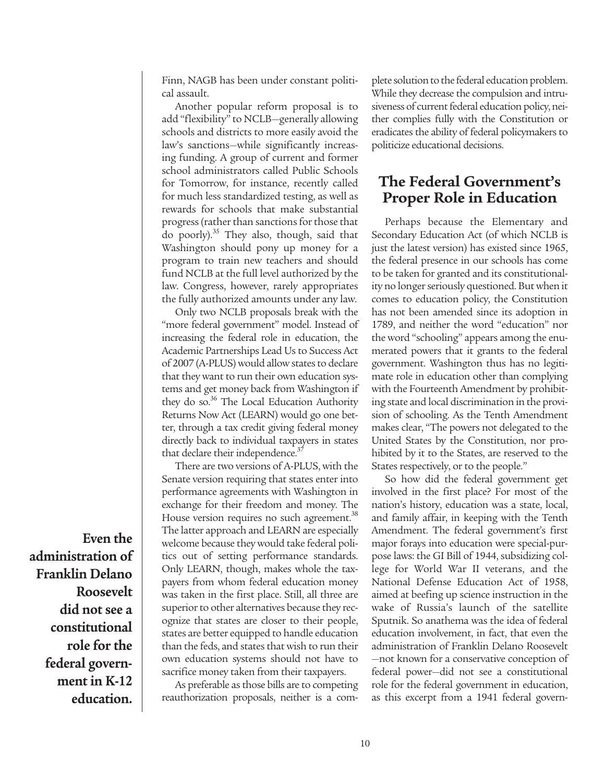Finn, NAGB has been under constant political assault.

Another popular reform proposal is to add "flexibility" to NCLB—generally allowing schools and districts to more easily avoid the law's sanctions—while significantly increasing funding. A group of current and former school administrators called Public Schools for Tomorrow, for instance, recently called for much less standardized testing, as well as rewards for schools that make substantial progress (rather than sanctions for those that do poorly).<sup>35</sup> They also, though, said that Washington should pony up money for a program to train new teachers and should fund NCLB at the full level authorized by the law. Congress, however, rarely appropriates the fully authorized amounts under any law.

Only two NCLB proposals break with the "more federal government" model. Instead of increasing the federal role in education, the Academic Partnerships Lead Us to Success Act of 2007 (A-PLUS) would allow states to declare that they want to run their own education systems and get money back from Washington if they do so.<sup>36</sup> The Local Education Authority Returns Now Act (LEARN) would go one better, through a tax credit giving federal money directly back to individual taxpayers in states that declare their independence.<sup>37</sup>

There are two versions of A-PLUS, with the Senate version requiring that states enter into performance agreements with Washington in exchange for their freedom and money. The House version requires no such agreement.<sup>38</sup> The latter approach and LEARN are especially welcome because they would take federal politics out of setting performance standards. Only LEARN, though, makes whole the taxpayers from whom federal education money was taken in the first place. Still, all three are superior to other alternatives because they recognize that states are closer to their people, states are better equipped to handle education than the feds, and states that wish to run their own education systems should not have to sacrifice money taken from their taxpayers.

As preferable as those bills are to competing reauthorization proposals, neither is a complete solution to the federal education problem. While they decrease the compulsion and intrusiveness of current federal education policy, neither complies fully with the Constitution or eradicates the ability of federal policymakers to politicize educational decisions.

#### **The Federal Government's Proper Role in Education**

Perhaps because the Elementary and Secondary Education Act (of which NCLB is just the latest version) has existed since 1965, the federal presence in our schools has come to be taken for granted and its constitutionality no longer seriously questioned. But when it comes to education policy, the Constitution has not been amended since its adoption in 1789, and neither the word "education" nor the word "schooling" appears among the enumerated powers that it grants to the federal government. Washington thus has no legitimate role in education other than complying with the Fourteenth Amendment by prohibiting state and local discrimination in the provision of schooling. As the Tenth Amendment makes clear, "The powers not delegated to the United States by the Constitution, nor prohibited by it to the States, are reserved to the States respectively, or to the people."

So how did the federal government get involved in the first place? For most of the nation's history, education was a state, local, and family affair, in keeping with the Tenth Amendment. The federal government's first major forays into education were special-purpose laws: the GI Bill of 1944, subsidizing college for World War II veterans, and the National Defense Education Act of 1958, aimed at beefing up science instruction in the wake of Russia's launch of the satellite Sputnik. So anathema was the idea of federal education involvement, in fact, that even the administration of Franklin Delano Roosevelt —not known for a conservative conception of federal power—did not see a constitutional role for the federal government in education, as this excerpt from a 1941 federal govern-

**Even the administration of Franklin Delano Roosevelt did not see a constitutional role for the federal government in K-12 education.**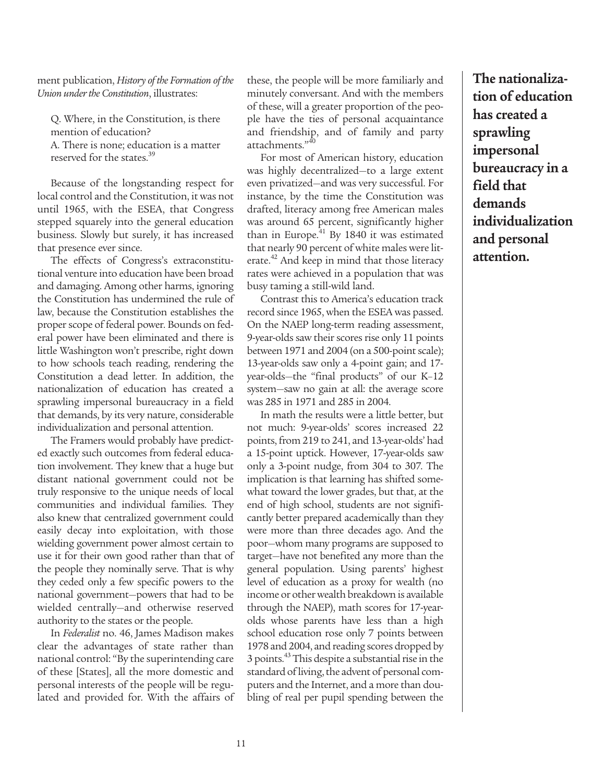ment publication, *History of the Formation of the Union under the Constitution*, illustrates:

Q. Where, in the Constitution, is there mention of education? A. There is none; education is a matter reserved for the states.<sup>39</sup>

Because of the longstanding respect for local control and the Constitution, it was not until 1965, with the ESEA, that Congress stepped squarely into the general education business. Slowly but surely, it has increased that presence ever since.

The effects of Congress's extraconstitutional venture into education have been broad and damaging. Among other harms, ignoring the Constitution has undermined the rule of law, because the Constitution establishes the proper scope of federal power. Bounds on federal power have been eliminated and there is little Washington won't prescribe, right down to how schools teach reading, rendering the Constitution a dead letter. In addition, the nationalization of education has created a sprawling impersonal bureaucracy in a field that demands, by its very nature, considerable individualization and personal attention.

The Framers would probably have predicted exactly such outcomes from federal education involvement. They knew that a huge but distant national government could not be truly responsive to the unique needs of local communities and individual families. They also knew that centralized government could easily decay into exploitation, with those wielding government power almost certain to use it for their own good rather than that of the people they nominally serve. That is why they ceded only a few specific powers to the national government—powers that had to be wielded centrally—and otherwise reserved authority to the states or the people.

In *Federalist* no. 46, James Madison makes clear the advantages of state rather than national control: "By the superintending care of these [States], all the more domestic and personal interests of the people will be regulated and provided for. With the affairs of

these, the people will be more familiarly and minutely conversant. And with the members of these, will a greater proportion of the people have the ties of personal acquaintance and friendship, and of family and party attachments."<sup>40</sup>

For most of American history, education was highly decentralized—to a large extent even privatized—and was very successful. For instance, by the time the Constitution was drafted, literacy among free American males was around 65 percent, significantly higher than in Europe. $^{41}$  By 1840 it was estimated that nearly 90 percent of white males were literate.<sup>42</sup> And keep in mind that those literacy rates were achieved in a population that was busy taming a still-wild land.

Contrast this to America's education track record since 1965, when the ESEA was passed. On the NAEP long-term reading assessment, 9-year-olds saw their scores rise only 11 points between 1971 and 2004 (on a 500-point scale); 13-year-olds saw only a 4-point gain; and 17 year-olds—the "final products" of our K–12 system—saw no gain at all: the average score was 285 in 1971 and 285 in 2004.

In math the results were a little better, but not much: 9-year-olds' scores increased 22 points, from 219 to 241, and 13-year-olds' had a 15-point uptick. However, 17-year-olds saw only a 3-point nudge, from 304 to 307. The implication is that learning has shifted somewhat toward the lower grades, but that, at the end of high school, students are not significantly better prepared academically than they were more than three decades ago. And the poor—whom many programs are supposed to target—have not benefited any more than the general population. Using parents' highest level of education as a proxy for wealth (no income or other wealth breakdown is available through the NAEP), math scores for 17-yearolds whose parents have less than a high school education rose only 7 points between 1978 and 2004, and reading scores dropped by 3 points.<sup>43</sup> This despite a substantial rise in the standard of living, the advent of personal computers and the Internet, and a more than doubling of real per pupil spending between the

**The nationalization of education has created a sprawling impersonal bureaucracy in a field that demands individualization and personal attention.**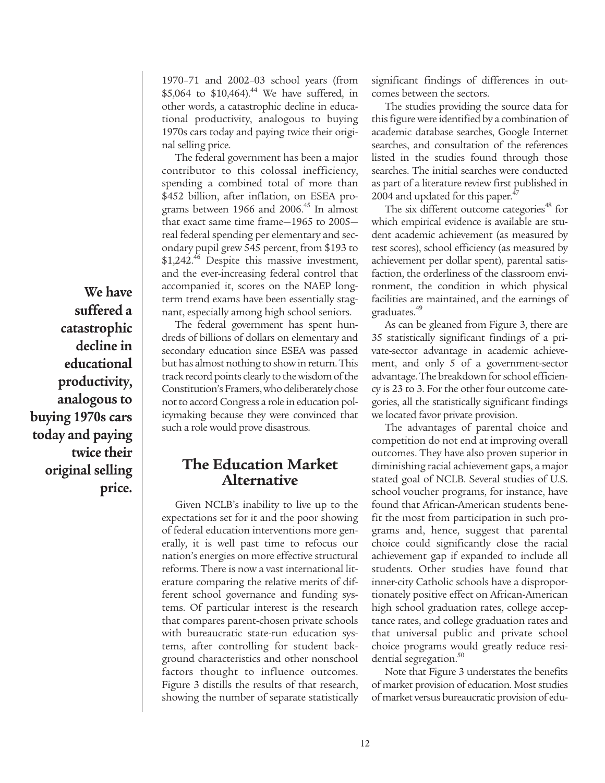**We have suffered a catastrophic decline in educational productivity, analogous to buying 1970s cars today and paying twice their original selling price.**

1970–71 and 2002–03 school years (from \$5,064 to \$10,464).<sup>44</sup> We have suffered, in other words, a catastrophic decline in educational productivity, analogous to buying 1970s cars today and paying twice their original selling price.

The federal government has been a major contributor to this colossal inefficiency, spending a combined total of more than \$452 billion, after inflation, on ESEA programs between 1966 and  $2006<sup>45</sup>$  In almost that exact same time frame—1965 to 2005 real federal spending per elementary and secondary pupil grew 545 percent, from \$193 to \$1,242.<sup>46</sup> Despite this massive investment, and the ever-increasing federal control that accompanied it, scores on the NAEP longterm trend exams have been essentially stagnant, especially among high school seniors.

The federal government has spent hundreds of billions of dollars on elementary and secondary education since ESEA was passed but has almost nothing to show in return. This track record points clearly to the wisdom of the Constitution's Framers, who deliberately chose not to accord Congress a role in education policymaking because they were convinced that such a role would prove disastrous.

## **The Education Market Alternative**

Given NCLB's inability to live up to the expectations set for it and the poor showing of federal education interventions more generally, it is well past time to refocus our nation's energies on more effective structural reforms. There is now a vast international literature comparing the relative merits of different school governance and funding systems. Of particular interest is the research that compares parent-chosen private schools with bureaucratic state-run education systems, after controlling for student background characteristics and other nonschool factors thought to influence outcomes. Figure 3 distills the results of that research, showing the number of separate statistically

significant findings of differences in outcomes between the sectors.

The studies providing the source data for this figure were identified by a combination of academic database searches, Google Internet searches, and consultation of the references listed in the studies found through those searches. The initial searches were conducted as part of a literature review first published in 2004 and updated for this paper. $47$ 

The six different outcome categories<sup>48</sup> for which empirical evidence is available are student academic achievement (as measured by test scores), school efficiency (as measured by achievement per dollar spent), parental satisfaction, the orderliness of the classroom environment, the condition in which physical facilities are maintained, and the earnings of graduates.<sup>49</sup>

As can be gleaned from Figure 3, there are 35 statistically significant findings of a private-sector advantage in academic achievement, and only 5 of a government-sector advantage. The breakdown for school efficiency is 23 to 3. For the other four outcome categories, all the statistically significant findings we located favor private provision.

The advantages of parental choice and competition do not end at improving overall outcomes. They have also proven superior in diminishing racial achievement gaps, a major stated goal of NCLB. Several studies of U.S. school voucher programs, for instance, have found that African-American students benefit the most from participation in such programs and, hence, suggest that parental choice could significantly close the racial achievement gap if expanded to include all students. Other studies have found that inner-city Catholic schools have a disproportionately positive effect on African-American high school graduation rates, college acceptance rates, and college graduation rates and that universal public and private school choice programs would greatly reduce residential segregation.<sup>50</sup>

Note that Figure 3 understates the benefits of market provision of education. Most studies of market versus bureaucratic provision of edu-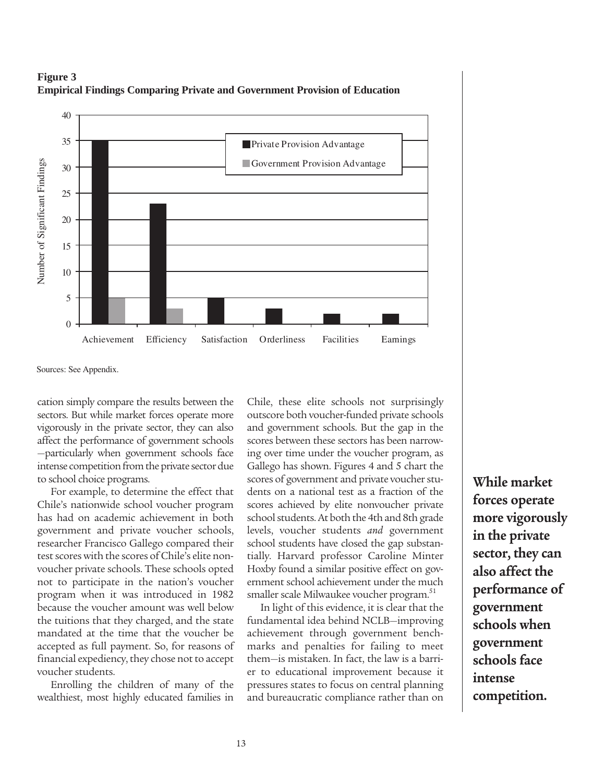



Sources: See Appendix.

cation simply compare the results between the sectors. But while market forces operate more vigorously in the private sector, they can also affect the performance of government schools —particularly when government schools face intense competition from the private sector due to school choice programs.

For example, to determine the effect that Chile's nationwide school voucher program has had on academic achievement in both government and private voucher schools, researcher Francisco Gallego compared their test scores with the scores of Chile's elite nonvoucher private schools. These schools opted not to participate in the nation's voucher program when it was introduced in 1982 because the voucher amount was well below the tuitions that they charged, and the state mandated at the time that the voucher be accepted as full payment. So, for reasons of financial expediency, they chose not to accept voucher students.

Enrolling the children of many of the wealthiest, most highly educated families in Chile, these elite schools not surprisingly outscore both voucher-funded private schools and government schools. But the gap in the scores between these sectors has been narrowing over time under the voucher program, as Gallego has shown. Figures 4 and 5 chart the scores of government and private voucher students on a national test as a fraction of the scores achieved by elite nonvoucher private school students. At both the 4th and 8th grade levels, voucher students *and* government school students have closed the gap substantially. Harvard professor Caroline Minter Hoxby found a similar positive effect on government school achievement under the much smaller scale Milwaukee voucher program.<sup>51</sup>

In light of this evidence, it is clear that the fundamental idea behind NCLB—improving achievement through government benchmarks and penalties for failing to meet them—is mistaken. In fact, the law is a barrier to educational improvement because it pressures states to focus on central planning and bureaucratic compliance rather than on

**While market forces operate more vigorously in the private sector, they can also affect the performance of government schools when government schools face intense competition.**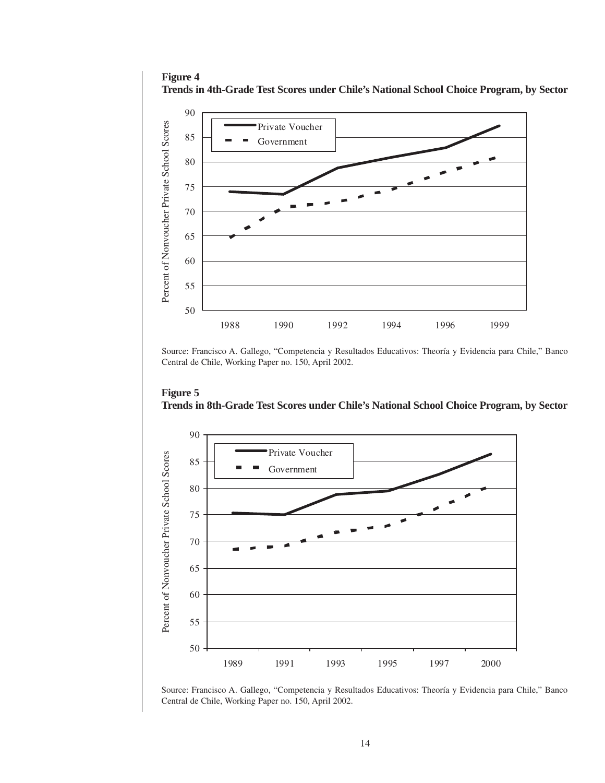**Figure 4 Trends in 4th-Grade Test Scores under Chile's National School Choice Program, by Sector**



Source: Francisco A. Gallego, "Competencia y Resultados Educativos: Theoría y Evidencia para Chile," Banco Central de Chile, Working Paper no. 150, April 2002.



**Figure 5**

Source: Francisco A. Gallego, "Competencia y Resultados Educativos: Theoría y Evidencia para Chile," Banco Central de Chile, Working Paper no. 150, April 2002.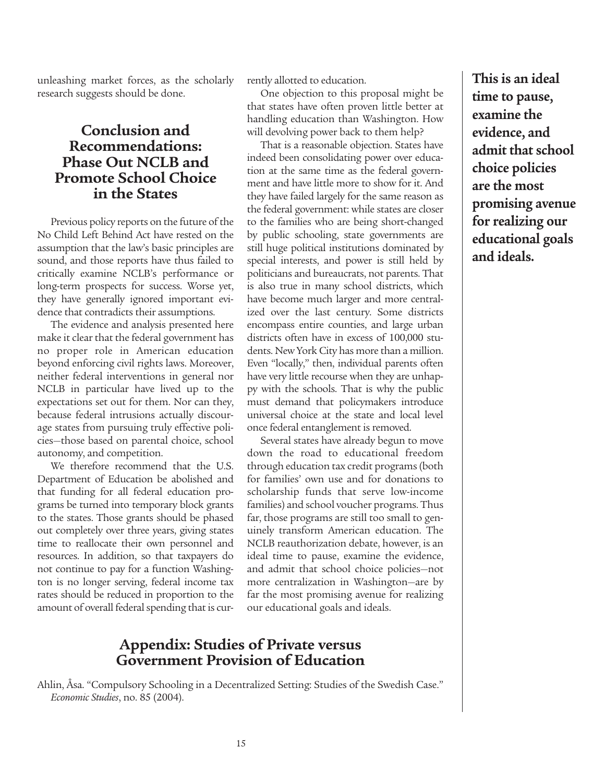unleashing market forces, as the scholarly research suggests should be done.

## **Conclusion and Recommendations: Phase Out NCLB and Promote School Choice in the States**

Previous policy reports on the future of the No Child Left Behind Act have rested on the assumption that the law's basic principles are sound, and those reports have thus failed to critically examine NCLB's performance or long-term prospects for success. Worse yet, they have generally ignored important evidence that contradicts their assumptions.

The evidence and analysis presented here make it clear that the federal government has no proper role in American education beyond enforcing civil rights laws. Moreover, neither federal interventions in general nor NCLB in particular have lived up to the expectations set out for them. Nor can they, because federal intrusions actually discourage states from pursuing truly effective policies—those based on parental choice, school autonomy, and competition.

We therefore recommend that the U.S. Department of Education be abolished and that funding for all federal education programs be turned into temporary block grants to the states. Those grants should be phased out completely over three years, giving states time to reallocate their own personnel and resources. In addition, so that taxpayers do not continue to pay for a function Washington is no longer serving, federal income tax rates should be reduced in proportion to the amount of overall federal spending that is currently allotted to education.

One objection to this proposal might be that states have often proven little better at handling education than Washington. How will devolving power back to them help?

That is a reasonable objection. States have indeed been consolidating power over education at the same time as the federal government and have little more to show for it. And they have failed largely for the same reason as the federal government: while states are closer to the families who are being short-changed by public schooling, state governments are still huge political institutions dominated by special interests, and power is still held by politicians and bureaucrats, not parents. That is also true in many school districts, which have become much larger and more centralized over the last century. Some districts encompass entire counties, and large urban districts often have in excess of 100,000 students. New York City has more than a million. Even "locally," then, individual parents often have very little recourse when they are unhappy with the schools. That is why the public must demand that policymakers introduce universal choice at the state and local level once federal entanglement is removed.

Several states have already begun to move down the road to educational freedom through education tax credit programs (both for families' own use and for donations to scholarship funds that serve low-income families) and school voucher programs. Thus far, those programs are still too small to genuinely transform American education. The NCLB reauthorization debate, however, is an ideal time to pause, examine the evidence, and admit that school choice policies—not more centralization in Washington—are by far the most promising avenue for realizing our educational goals and ideals.

#### **Appendix: Studies of Private versus Government Provision of Education**

Ahlin, Åsa. "Compulsory Schooling in a Decentralized Setting: Studies of the Swedish Case." *Economic Studies*, no. 85 (2004).

**This is an ideal time to pause, examine the evidence, and admit that school choice policies are the most promising avenue for realizing our educational goals and ideals.**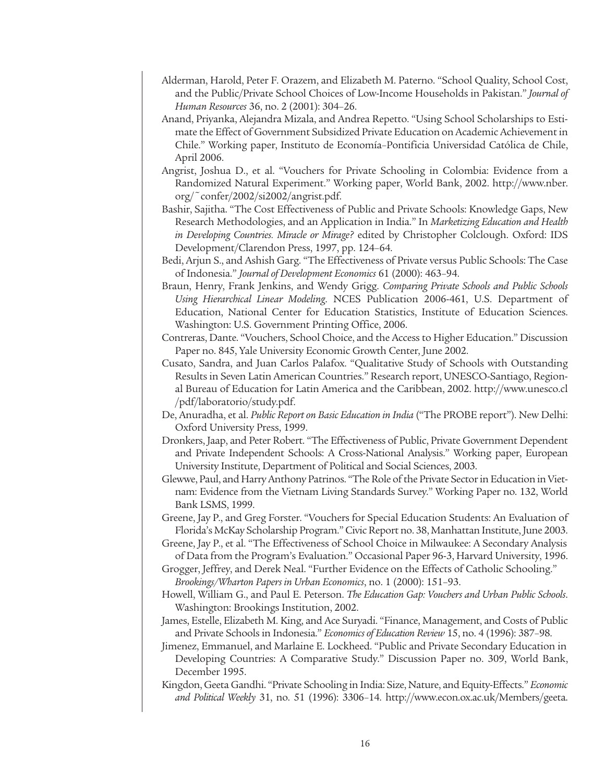- Alderman, Harold, Peter F. Orazem, and Elizabeth M. Paterno. "School Quality, School Cost, and the Public/Private School Choices of Low-Income Households in Pakistan." *Journal of Human Resources* 36, no. 2 (2001): 304–26.
- Anand, Priyanka, Alejandra Mizala, and Andrea Repetto. "Using School Scholarships to Estimate the Effect of Government Subsidized Private Education on Academic Achievement in Chile." Working paper, Instituto de Economía–Pontificia Universidad Católica de Chile, April 2006.
- Angrist, Joshua D., et al. "Vouchers for Private Schooling in Colombia: Evidence from a Randomized Natural Experiment." Working paper, World Bank, 2002. http://www.nber. org/~confer/2002/si2002/angrist.pdf.
- Bashir, Sajitha. "The Cost Effectiveness of Public and Private Schools: Knowledge Gaps, New Research Methodologies, and an Application in India." In *Marketizing Education and Health in Developing Countries. Miracle or Mirage?* edited by Christopher Colclough. Oxford: IDS Development/Clarendon Press, 1997, pp. 124–64.
- Bedi, Arjun S., and Ashish Garg. "The Effectiveness of Private versus Public Schools: The Case of Indonesia." *Journal of Development Economics* 61 (2000): 463–94.
- Braun, Henry, Frank Jenkins, and Wendy Grigg. *Comparing Private Schools and Public Schools Using Hierarchical Linear Modeling*. NCES Publication 2006-461, U.S. Department of Education, National Center for Education Statistics, Institute of Education Sciences. Washington: U.S. Government Printing Office, 2006.
- Contreras, Dante. "Vouchers, School Choice, and the Access to Higher Education." Discussion Paper no. 845, Yale University Economic Growth Center, June 2002.
- Cusato, Sandra, and Juan Carlos Palafox. "Qualitative Study of Schools with Outstanding Results in Seven Latin American Countries." Research report, UNESCO-Santiago, Regional Bureau of Education for Latin America and the Caribbean, 2002. http://www.unesco.cl /pdf/laboratorio/study.pdf.
- De, Anuradha, et al. *Public Report on Basic Education in India* ("The PROBE report"). New Delhi: Oxford University Press, 1999.
- Dronkers, Jaap, and Peter Robert. "The Effectiveness of Public, Private Government Dependent and Private Independent Schools: A Cross-National Analysis." Working paper, European University Institute, Department of Political and Social Sciences, 2003.
- Glewwe, Paul, and Harry Anthony Patrinos. "The Role of the Private Sector in Education in Vietnam: Evidence from the Vietnam Living Standards Survey." Working Paper no. 132, World Bank LSMS, 1999.
- Greene, Jay P., and Greg Forster. "Vouchers for Special Education Students: An Evaluation of Florida's McKay Scholarship Program." Civic Report no. 38, Manhattan Institute, June 2003.
- Greene, Jay P., et al. "The Effectiveness of School Choice in Milwaukee: A Secondary Analysis of Data from the Program's Evaluation." Occasional Paper 96-3, Harvard University, 1996.
- Grogger, Jeffrey, and Derek Neal. "Further Evidence on the Effects of Catholic Schooling." *Brookings/Wharton Papers in Urban Economics*, no. 1 (2000): 151–93.
- Howell, William G., and Paul E. Peterson. *The Education Gap: Vouchers and Urban Public Schools*. Washington: Brookings Institution, 2002.
- James, Estelle, Elizabeth M. King, and Ace Suryadi. "Finance, Management, and Costs of Public and Private Schools in Indonesia." *Economics of Education Review* 15, no. 4 (1996): 387–98.
- Jimenez, Emmanuel, and Marlaine E. Lockheed. "Public and Private Secondary Education in Developing Countries: A Comparative Study." Discussion Paper no. 309, World Bank, December 1995.
- Kingdon, Geeta Gandhi. "Private Schooling in India: Size, Nature, and Equity-Effects." *Economic and Political Weekly* 31, no. 51 (1996): 3306–14. http://www.econ.ox.ac.uk/Members/geeta.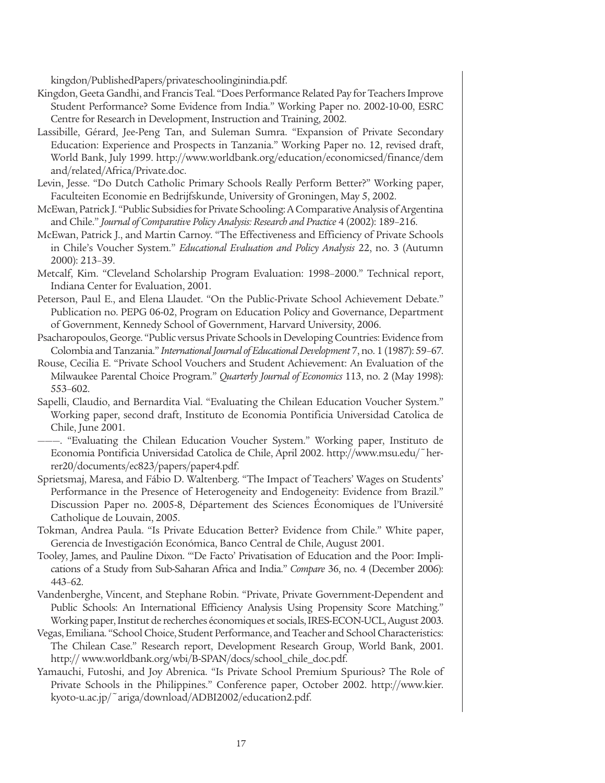kingdon/PublishedPapers/privateschoolinginindia.pdf.

- Kingdon, Geeta Gandhi, and Francis Teal. "Does Performance Related Pay for Teachers Improve Student Performance? Some Evidence from India." Working Paper no. 2002-10-00, ESRC Centre for Research in Development, Instruction and Training, 2002.
- Lassibille, Gérard, Jee-Peng Tan, and Suleman Sumra. "Expansion of Private Secondary Education: Experience and Prospects in Tanzania." Working Paper no. 12, revised draft, World Bank, July 1999. http://www.worldbank.org/education/economicsed/finance/dem and/related/Africa/Private.doc.
- Levin, Jesse. "Do Dutch Catholic Primary Schools Really Perform Better?" Working paper, Faculteiten Economie en Bedrijfskunde, University of Groningen, May 5, 2002.
- McEwan, Patrick J. "Public Subsidies for Private Schooling: A Comparative Analysis of Argentina and Chile." *Journal of Comparative Policy Analysis: Research and Practice* 4 (2002): 189–216.
- McEwan, Patrick J., and Martin Carnoy. "The Effectiveness and Efficiency of Private Schools in Chile's Voucher System." *Educational Evaluation and Policy Analysis* 22, no. 3 (Autumn 2000): 213–39.
- Metcalf, Kim. "Cleveland Scholarship Program Evaluation: 1998–2000." Technical report, Indiana Center for Evaluation, 2001.
- Peterson, Paul E., and Elena Llaudet. "On the Public-Private School Achievement Debate." Publication no. PEPG 06-02, Program on Education Policy and Governance, Department of Government, Kennedy School of Government, Harvard University, 2006.
- Psacharopoulos, George. "Public versus Private Schools in Developing Countries: Evidence from Colombia and Tanzania." *International Journal of Educational Development* 7, no. 1 (1987): 59–67.
- Rouse, Cecilia E. "Private School Vouchers and Student Achievement: An Evaluation of the Milwaukee Parental Choice Program." *Quarterly Journal of Economics* 113, no. 2 (May 1998): 553–602.
- Sapelli, Claudio, and Bernardita Vial. "Evaluating the Chilean Education Voucher System." Working paper, second draft, Instituto de Economia Pontificia Universidad Catolica de Chile, June 2001.
- ———. "Evaluating the Chilean Education Voucher System." Working paper, Instituto de Economia Pontificia Universidad Catolica de Chile, April 2002. http://www.msu.edu/~herrer20/documents/ec823/papers/paper4.pdf.
- Sprietsmaj, Maresa, and Fábio D. Waltenberg. "The Impact of Teachers' Wages on Students' Performance in the Presence of Heterogeneity and Endogeneity: Evidence from Brazil." Discussion Paper no. 2005-8, Département des Sciences Économiques de l'Université Catholique de Louvain, 2005.
- Tokman, Andrea Paula. "Is Private Education Better? Evidence from Chile." White paper, Gerencia de Investigación Económica, Banco Central de Chile, August 2001.
- Tooley, James, and Pauline Dixon. "'De Facto' Privatisation of Education and the Poor: Implications of a Study from Sub-Saharan Africa and India." *Compare* 36, no. 4 (December 2006): 443–62.
- Vandenberghe, Vincent, and Stephane Robin. "Private, Private Government-Dependent and Public Schools: An International Efficiency Analysis Using Propensity Score Matching." Working paper, Institut de recherches économiques et socials, IRES-ECON-UCL, August 2003.
- Vegas, Emiliana. "School Choice, Student Performance, and Teacher and School Characteristics: The Chilean Case." Research report, Development Research Group, World Bank, 2001. http:// www.worldbank.org/wbi/B-SPAN/docs/school\_chile\_doc.pdf.
- Yamauchi, Futoshi, and Joy Abrenica. "Is Private School Premium Spurious? The Role of Private Schools in the Philippines." Conference paper, October 2002. http://www.kier. kyoto-u.ac.jp/~ariga/download/ADBI2002/education2.pdf.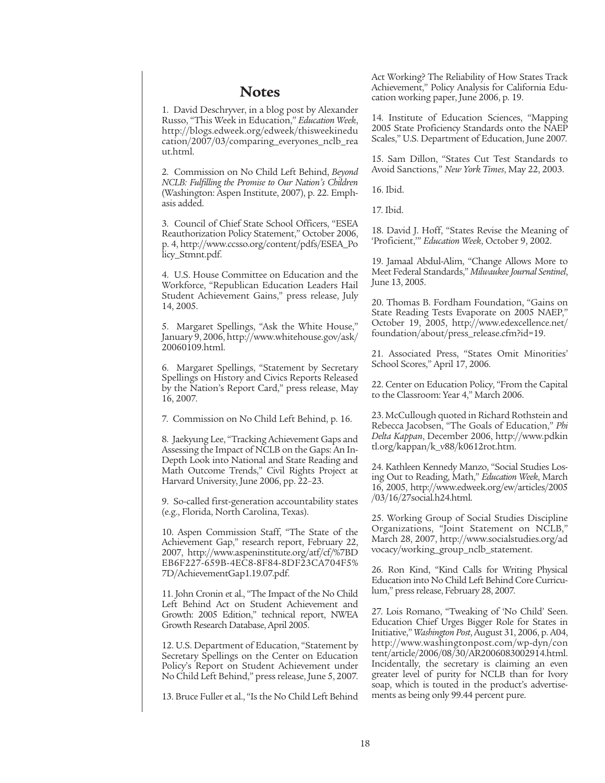#### **Notes**

1. David Deschryver, in a blog post by Alexander Russo, "This Week in Education," *Education Week*, http://blogs.edweek.org/edweek/thisweekinedu cation/2007/03/comparing\_everyones\_nclb\_rea ut.html.

2. Commission on No Child Left Behind, *Beyond NCLB: Fulfilling the Promise to Our Nation's Children* (Washington: Aspen Institute, 2007), p. 22. Emphasis added.

3. Council of Chief State School Officers, "ESEA Reauthorization Policy Statement," October 2006, p. 4, http://www.ccsso.org/content/pdfs/ESEA\_Po licy\_Stmnt.pdf.

4. U.S. House Committee on Education and the Workforce, "Republican Education Leaders Hail Student Achievement Gains," press release, July 14, 2005.

5. Margaret Spellings, "Ask the White House," January 9, 2006, http://www.whitehouse.gov/ask/ 20060109.html.

6. Margaret Spellings, "Statement by Secretary Spellings on History and Civics Reports Released by the Nation's Report Card," press release, May 16, 2007.

7. Commission on No Child Left Behind, p. 16.

8. Jaekyung Lee, "Tracking Achievement Gaps and Assessing the Impact of NCLB on the Gaps: An In-Depth Look into National and State Reading and Math Outcome Trends," Civil Rights Project at Harvard University, June 2006, pp. 22–23.

9. So-called first-generation accountability states (e.g., Florida, North Carolina, Texas).

10. Aspen Commission Staff, "The State of the Achievement Gap," research report, February 22, 2007, http://www.aspeninstitute.org/atf/cf/%7BD EB6F227-659B-4EC8-8F84-8DF23CA704F5% 7D/AchievementGap1.19.07.pdf.

11. John Cronin et al., "The Impact of the No Child Left Behind Act on Student Achievement and Growth: 2005 Edition," technical report, NWEA Growth Research Database, April 2005.

12. U.S. Department of Education, "Statement by Secretary Spellings on the Center on Education Policy's Report on Student Achievement under No Child Left Behind," press release, June 5, 2007.

13. Bruce Fuller et al., "Is the No Child Left Behind

Act Working? The Reliability of How States Track Achievement," Policy Analysis for California Education working paper, June 2006, p. 19.

14. Institute of Education Sciences, "Mapping 2005 State Proficiency Standards onto the NAEP Scales," U.S. Department of Education, June 2007.

15. Sam Dillon, "States Cut Test Standards to Avoid Sanctions," *New York Times*, May 22, 2003.

16. Ibid.

17. Ibid.

18. David J. Hoff, "States Revise the Meaning of 'Proficient,'" *Education Week*, October 9, 2002.

19. Jamaal Abdul-Alim, "Change Allows More to Meet Federal Standards," *Milwaukee Journal Sentinel*, June 13, 2005.

20. Thomas B. Fordham Foundation, "Gains on State Reading Tests Evaporate on 2005 NAEP," October 19, 2005, http://www.edexcellence.net/ foundation/about/press\_release.cfm?id=19.

21. Associated Press, "States Omit Minorities' School Scores," April 17, 2006.

22. Center on Education Policy, "From the Capital to the Classroom: Year 4," March 2006.

23. McCullough quoted in Richard Rothstein and Rebecca Jacobsen, "The Goals of Education," *Phi Delta Kappan*, December 2006, http://www.pdkin tl.org/kappan/k\_v88/k0612rot.htm.

24. Kathleen Kennedy Manzo, "Social Studies Losing Out to Reading, Math," *Education Week*, March 16, 2005, http://www.edweek.org/ew/articles/2005 /03/16/27social.h24.html.

25. Working Group of Social Studies Discipline Organizations, "Joint Statement on NCLB," March 28, 2007, http://www.socialstudies.org/ad vocacy/working\_group\_nclb\_statement.

26. Ron Kind, "Kind Calls for Writing Physical Education into No Child Left Behind Core Curriculum," press release, February 28, 2007.

27. Lois Romano, "Tweaking of 'No Child' Seen. Education Chief Urges Bigger Role for States in Initiative," *Washington Post*, August 31, 2006, p. A04, http://www.washingtonpost.com/wp-dyn/con tent/article/2006/08/30/AR2006083002914.html. Incidentally, the secretary is claiming an even greater level of purity for NCLB than for Ivory soap, which is touted in the product's advertisements as being only 99.44 percent pure.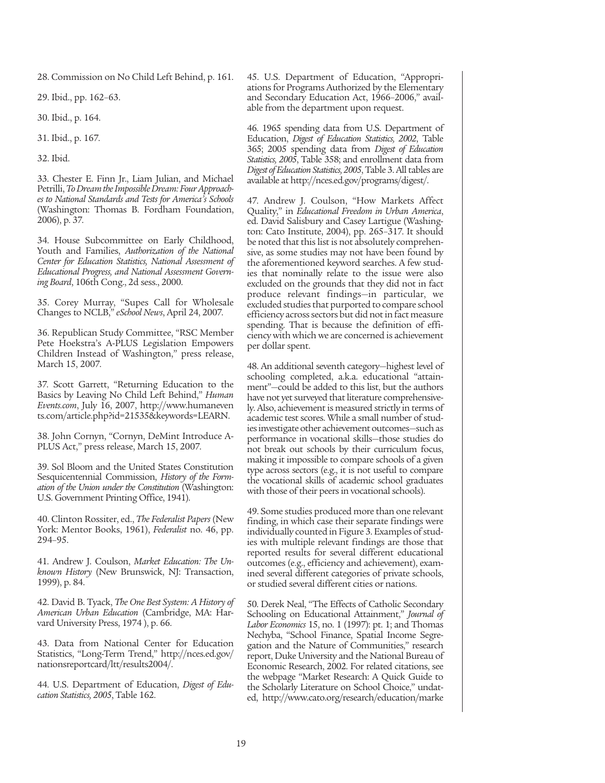28. Commission on No Child Left Behind, p. 161.

29. Ibid., pp. 162–63.

30. Ibid., p. 164.

31. Ibid., p. 167.

32. Ibid.

33. Chester E. Finn Jr., Liam Julian, and Michael Petrilli, *To Dream the Impossible Dream: Four Approaches to National Standards and Tests for America's Schools* (Washington: Thomas B. Fordham Foundation, 2006), p. 37.

34. House Subcommittee on Early Childhood, Youth and Families, *Authorization of the National Center for Education Statistics, National Assessment of Educational Progress, and National Assessment Governing Board*, 106th Cong., 2d sess., 2000.

35. Corey Murray, "Supes Call for Wholesale Changes to NCLB," *eSchool News*, April 24, 2007.

36. Republican Study Committee, "RSC Member Pete Hoekstra's A-PLUS Legislation Empowers Children Instead of Washington," press release, March 15, 2007.

37. Scott Garrett, "Returning Education to the Basics by Leaving No Child Left Behind," *Human Events.com*, July 16, 2007, http://www.humaneven ts.com/article.php?id=21535&keywords=LEARN.

38. John Cornyn, "Cornyn, DeMint Introduce A-PLUS Act," press release, March 15, 2007.

39. Sol Bloom and the United States Constitution Sesquicentennial Commission, *History of the Formation of the Union under the Constitution* (Washington: U.S. Government Printing Office, 1941).

40. Clinton Rossiter, ed., *The Federalist Papers* (New York: Mentor Books, 1961), *Federalist* no. 46, pp. 294–95.

41. Andrew J. Coulson, *Market Education: The Unknown History* (New Brunswick, NJ: Transaction, 1999), p. 84.

42. David B. Tyack, *The One Best System: A History of American Urban Education* (Cambridge, MA: Harvard University Press, 1974 ), p. 66.

43. Data from National Center for Education Statistics, "Long-Term Trend," http://nces.ed.gov/ nationsreportcard/ltt/results2004/.

44. U.S. Department of Education, *Digest of Education Statistics, 2005*, Table 162.

45. U.S. Department of Education, "Appropriations for Programs Authorized by the Elementary and Secondary Education Act, 1966–2006," available from the department upon request.

46. 1965 spending data from U.S. Department of Education, *Digest of Education Statistics, 2002*, Table 365; 2005 spending data from *Digest of Education Statistics, 2005*, Table 358; and enrollment data from *Digest of Education Statistics, 2005*, Table 3. All tables are available at http://nces.ed.gov/programs/digest/.

47. Andrew J. Coulson, "How Markets Affect Quality," in *Educational Freedom in Urban America*, ed. David Salisbury and Casey Lartigue (Washington: Cato Institute, 2004), pp. 265–317. It should be noted that this list is not absolutely comprehensive, as some studies may not have been found by the aforementioned keyword searches. A few studies that nominally relate to the issue were also excluded on the grounds that they did not in fact produce relevant findings—in particular, we excluded studies that purported to compare school efficiency across sectors but did not in fact measure spending. That is because the definition of efficiency with which we are concerned is achievement per dollar spent.

48. An additional seventh category—highest level of schooling completed, a.k.a. educational "attainment"—could be added to this list, but the authors have not yet surveyed that literature comprehensively. Also, achievement is measured strictly in terms of academic test scores. While a small number of studies investigate other achievement outcomes—such as performance in vocational skills—those studies do not break out schools by their curriculum focus, making it impossible to compare schools of a given type across sectors (e.g., it is not useful to compare the vocational skills of academic school graduates with those of their peers in vocational schools).

49. Some studies produced more than one relevant finding, in which case their separate findings were individually counted in Figure 3. Examples of studies with multiple relevant findings are those that reported results for several different educational outcomes (e.g., efficiency and achievement), examined several different categories of private schools, or studied several different cities or nations.

50. Derek Neal, "The Effects of Catholic Secondary Schooling on Educational Attainment," *Journal of Labor Economics* 15, no. 1 (1997): pt. 1; and Thomas Nechyba, "School Finance, Spatial Income Segregation and the Nature of Communities," research report, Duke University and the National Bureau of Economic Research, 2002. For related citations, see the webpage "Market Research: A Quick Guide to the Scholarly Literature on School Choice," undated, http://www.cato.org/research/education/marke